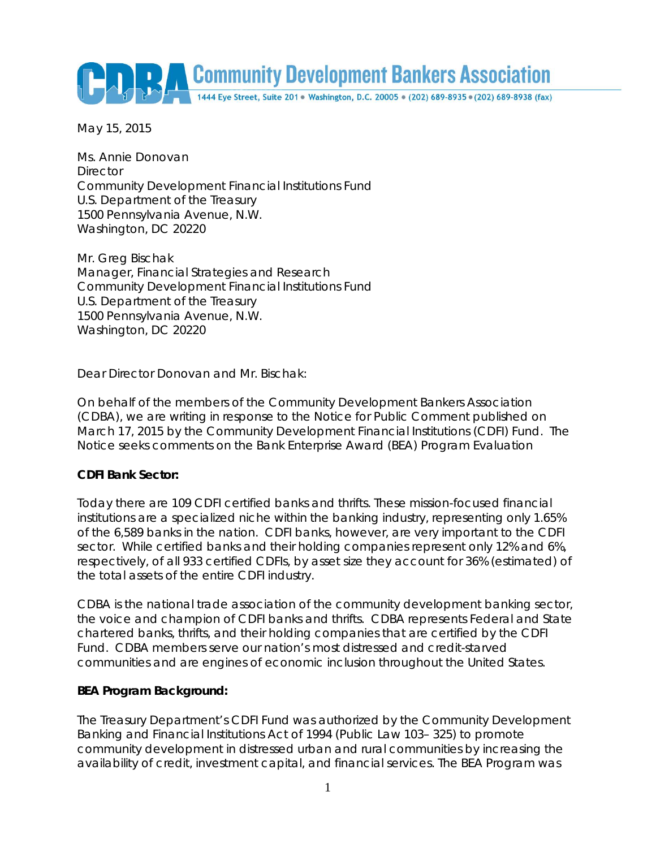Community Development Bankers Association

May 15, 2015

Ms. Annie Donovan **Director** Community Development Financial Institutions Fund U.S. Department of the Treasury 1500 Pennsylvania Avenue, N.W. Washington, DC 20220

Mr. Greg Bischak Manager, Financial Strategies and Research Community Development Financial Institutions Fund U.S. Department of the Treasury 1500 Pennsylvania Avenue, N.W. Washington, DC 20220

Dear Director Donovan and Mr. Bischak:

On behalf of the members of the Community Development Bankers Association (CDBA), we are writing in response to the Notice for Public Comment published on March 17, 2015 by the Community Development Financial Institutions (CDFI) Fund. The Notice seeks comments on the Bank Enterprise Award (BEA) Program Evaluation

### **CDFI Bank Sector:**

Today there are 109 CDFI certified banks and thrifts. These mission-focused financial institutions are a specialized niche within the banking industry, representing only 1.65% of the 6,589 banks in the nation. CDFI banks, however, are very important to the CDFI sector. While certified banks and their holding companies represent only 12% and 6%, respectively, of all 933 certified CDFIs, by asset size they account for 36% (estimated) of the total assets of the entire CDFI industry.

CDBA is the national trade association of the community development banking sector, the voice and champion of CDFI banks and thrifts. CDBA represents Federal and State chartered banks, thrifts, and their holding companies that are certified by the CDFI Fund. CDBA members serve our nation's most distressed and credit-starved communities and are engines of economic inclusion throughout the United States.

### **BEA Program Background:**

The Treasury Department's CDFI Fund was authorized by the Community Development Banking and Financial Institutions Act of 1994 (Public Law 103– 325) to promote community development in distressed urban and rural communities by increasing the availability of credit, investment capital, and financial services. The BEA Program was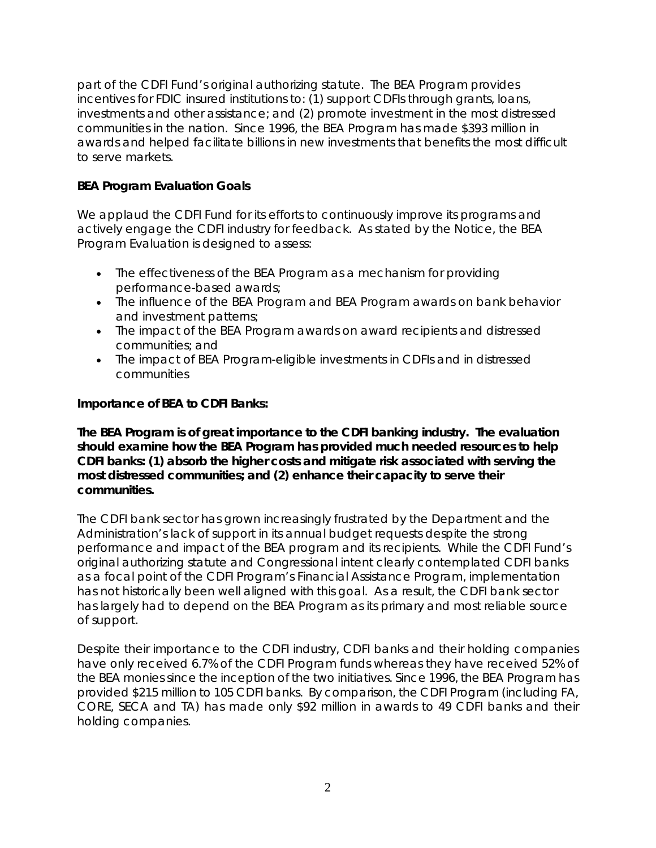part of the CDFI Fund's original authorizing statute. The BEA Program provides incentives for FDIC insured institutions to: (1) support CDFIs through grants, loans, investments and other assistance; and (2) promote investment in the most distressed communities in the nation. Since 1996, the BEA Program has made \$393 million in awards and helped facilitate billions in new investments that benefits the most difficult to serve markets.

### **BEA Program Evaluation Goals**

We applaud the CDFI Fund for its efforts to continuously improve its programs and actively engage the CDFI industry for feedback. As stated by the Notice, the BEA Program Evaluation is designed to assess:

- The effectiveness of the BEA Program as a mechanism for providing performance-based awards;
- The influence of the BEA Program and BEA Program awards on bank behavior and investment patterns;
- The impact of the BEA Program awards on award recipients and distressed communities; and
- The impact of BEA Program-eligible investments in CDFIs and in distressed communities

### **Importance of BEA to CDFI Banks:**

*The BEA Program is of great importance to the CDFI banking industry. The evaluation should examine how the BEA Program has provided much needed resources to help CDFI banks: (1) absorb the higher costs and mitigate risk associated with serving the most distressed communities; and (2) enhance their capacity to serve their communities.*

The CDFI bank sector has grown increasingly frustrated by the Department and the Administration's lack of support in its annual budget requests despite the strong performance and impact of the BEA program and its recipients. While the CDFI Fund's original authorizing statute and Congressional intent clearly contemplated CDFI banks as a focal point of the CDFI Program's Financial Assistance Program, implementation has not historically been well aligned with this goal. As a result, the CDFI bank sector has largely had to depend on the BEA Program as its primary and most reliable source of support.

Despite their importance to the CDFI industry, CDFI banks and their holding companies have only received 6.7% of the CDFI Program funds whereas they have received 52% of the BEA monies since the inception of the two initiatives. Since 1996, the BEA Program has provided \$215 million to 105 CDFI banks. By comparison, the CDFI Program (including FA, CORE, SECA and TA) has made only \$92 million in awards to 49 CDFI banks and their holding companies.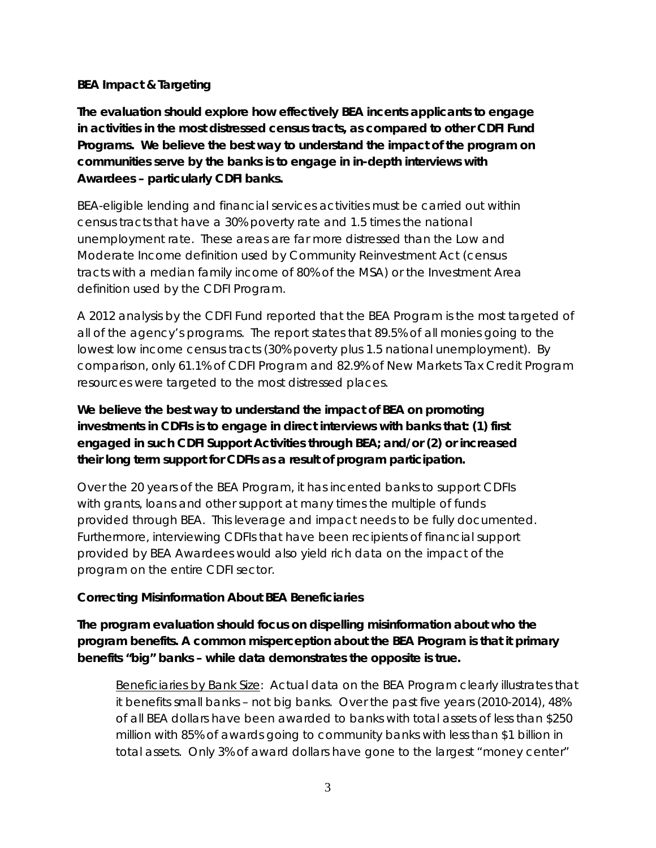### **BEA Impact & Targeting**

*The evaluation should explore how effectively BEA incents applicants to engage in activities in the most distressed census tracts, as compared to other CDFI Fund Programs. We believe the best way to understand the impact of the program on communities serve by the banks is to engage in in-depth interviews with Awardees – particularly CDFI banks.* 

BEA-eligible lending and financial services activities must be carried out within census tracts that have a 30% poverty rate and 1.5 times the national unemployment rate. These areas are far more distressed than the Low and Moderate Income definition used by Community Reinvestment Act (census tracts with a median family income of 80% of the MSA) or the Investment Area definition used by the CDFI Program.

A 2012 analysis by the CDFI Fund reported that the BEA Program is the most targeted of all of the agency's programs. The report states that 89.5% of all monies going to the lowest low income census tracts (30% poverty plus 1.5 national unemployment). By comparison, only 61.1% of CDFI Program and 82.9% of New Markets Tax Credit Program resources were targeted to the most distressed places.

# *We believe the best way to understand the impact of BEA on promoting investments in CDFIs is to engage in direct interviews with banks that: (1) first engaged in such CDFI Support Activities through BEA; and/or (2) or increased their long term support for CDFIs as a result of program participation.*

Over the 20 years of the BEA Program, it has incented banks to support CDFIs with grants, loans and other support at many times the multiple of funds provided through BEA. This leverage and impact needs to be fully documented. Furthermore, interviewing CDFIs that have been recipients of financial support provided by BEA Awardees would also yield rich data on the impact of the program on the entire CDFI sector.

### **Correcting Misinformation About BEA Beneficiaries**

*The program evaluation should focus on dispelling misinformation about who the program benefits. A common misperception about the BEA Program is that it primary benefits "big" banks – while data demonstrates the opposite is true.* 

Beneficiaries by Bank Size: Actual data on the BEA Program clearly illustrates that it benefits small banks – not big banks. Over the past five years (2010-2014), 48% of all BEA dollars have been awarded to banks with total assets of less than \$250 million with 85% of awards going to community banks with less than \$1 billion in total assets. Only 3% of award dollars have gone to the largest "money center"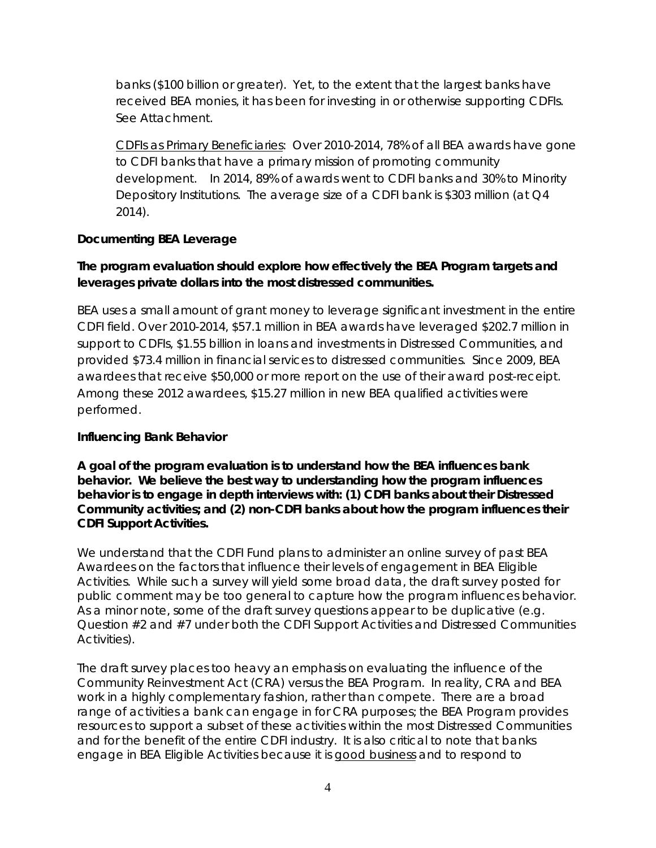banks (\$100 billion or greater). Yet, to the extent that the largest banks have received BEA monies, it has been for investing in or otherwise supporting CDFIs. See Attachment.

CDFIs as Primary Beneficiaries: Over 2010-2014, 78% of all BEA awards have gone to CDFI banks that have a primary mission of promoting community development. In 2014, 89% of awards went to CDFI banks and 30% to Minority Depository Institutions. The average size of a CDFI bank is \$303 million (at Q4 2014).

### **Documenting BEA Leverage**

## *The program evaluation should explore how effectively the BEA Program targets and leverages private dollars into the most distressed communities.*

BEA uses a small amount of grant money to leverage significant investment in the entire CDFI field. Over 2010-2014, \$57.1 million in BEA awards have leveraged \$202.7 million in support to CDFIs, \$1.55 billion in loans and investments in Distressed Communities, and provided \$73.4 million in financial services to distressed communities. Since 2009, BEA awardees that receive \$50,000 or more report on the use of their award post-receipt. Among these 2012 awardees, \$15.27 million in new BEA qualified activities were performed.

### **Influencing Bank Behavior**

*A goal of the program evaluation is to understand how the BEA influences bank behavior. We believe the best way to understanding how the program influences behavior is to engage in depth interviews with: (1) CDFI banks about their Distressed Community activities; and (2) non-CDFI banks about how the program influences their CDFI Support Activities.* 

We understand that the CDFI Fund plans to administer an online survey of past BEA Awardees on the factors that influence their levels of engagement in BEA Eligible Activities. While such a survey will yield some broad data, the draft survey posted for public comment may be too general to capture how the program influences behavior. As a minor note, some of the draft survey questions appear to be duplicative (e.g. Question #2 and #7 under both the CDFI Support Activities and Distressed Communities Activities).

The draft survey places too heavy an emphasis on evaluating the influence of the Community Reinvestment Act (CRA) versus the BEA Program. In reality, CRA and BEA work in a highly complementary fashion, rather than compete. There are a broad range of activities a bank can engage in for CRA purposes; the BEA Program provides resources to support a subset of these activities within the most Distressed Communities and for the benefit of the entire CDFI industry. It is also critical to note that banks engage in BEA Eligible Activities because it is good business and to respond to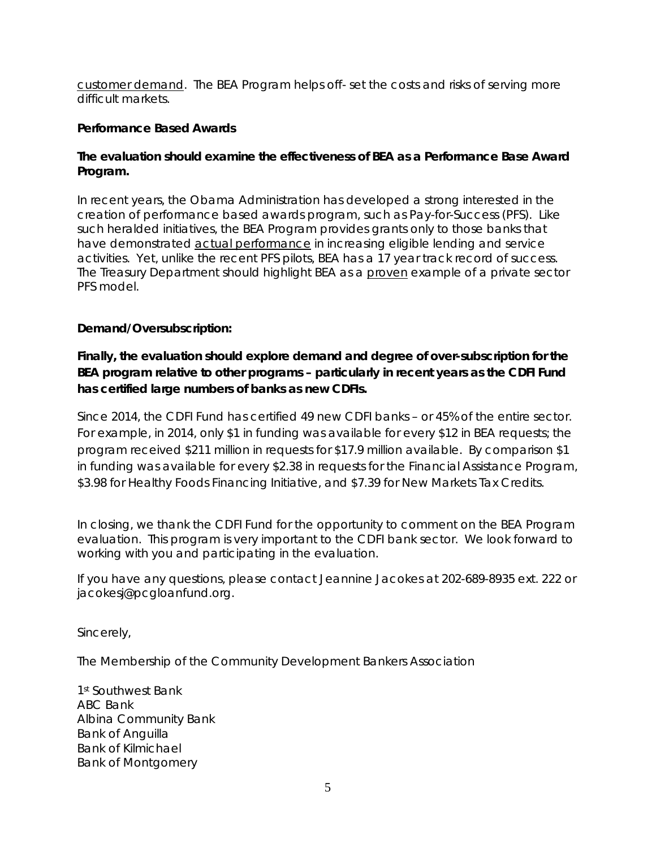customer demand. The BEA Program helps off- set the costs and risks of serving more difficult markets.

#### **Performance Based Awards**

#### *The evaluation should examine the effectiveness of BEA as a Performance Base Award Program.*

In recent years, the Obama Administration has developed a strong interested in the creation of performance based awards program, such as Pay-for-Success (PFS). Like such heralded initiatives, the BEA Program provides grants only to those banks that have demonstrated actual performance in increasing eligible lending and service activities. Yet, unlike the recent PFS pilots, BEA has a 17 year track record of success. The Treasury Department should highlight BEA as a proven example of a private sector PFS model.

#### **Demand/Oversubscription:**

## *Finally, the evaluation should explore demand and degree of over-subscription for the BEA program relative to other programs – particularly in recent years as the CDFI Fund has certified large numbers of banks as new CDFIs.*

Since 2014, the CDFI Fund has certified 49 new CDFI banks – or 45% of the entire sector. For example, in 2014, only \$1 in funding was available for every \$12 in BEA requests; the program received \$211 million in requests for \$17.9 million available. By comparison \$1 in funding was available for every \$2.38 in requests for the Financial Assistance Program, \$3.98 for Healthy Foods Financing Initiative, and \$7.39 for New Markets Tax Credits.

In closing, we thank the CDFI Fund for the opportunity to comment on the BEA Program evaluation. This program is very important to the CDFI bank sector. We look forward to working with you and participating in the evaluation.

If you have any questions, please contact Jeannine Jacokes at 202-689-8935 ext. 222 or jacokesj@pcgloanfund.org.

Sincerely,

The Membership of the Community Development Bankers Association

1st Southwest Bank ABC Bank Albina Community Bank Bank of Anguilla Bank of Kilmichael Bank of Montgomery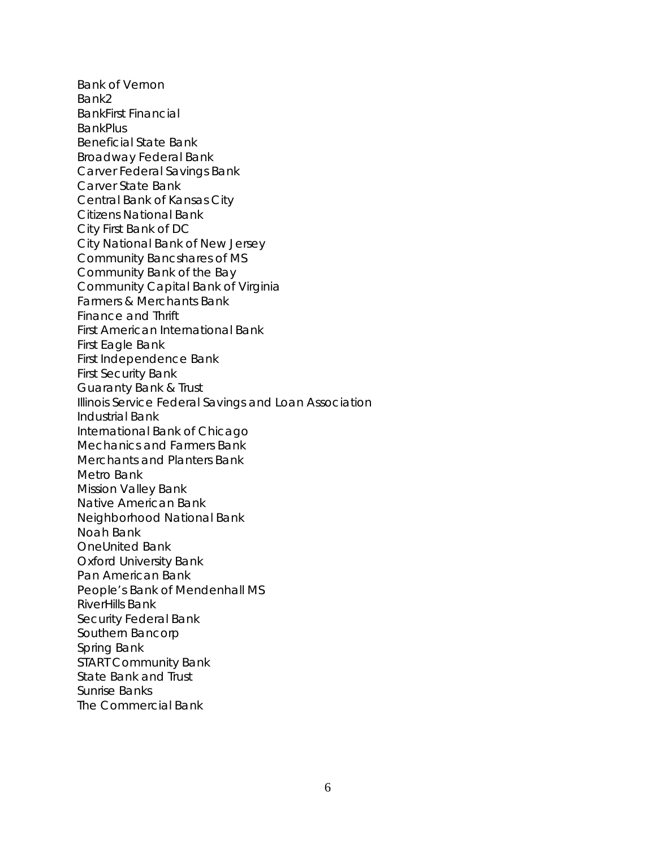Bank of Vernon Bank2 BankFirst Financial **BankPlus** Beneficial State Bank Broadway Federal Bank Carver Federal Savings Bank Carver State Bank Central Bank of Kansas City Citizens National Bank City First Bank of DC City National Bank of New Jersey Community Bancshares of MS Community Bank of the Bay Community Capital Bank of Virginia Farmers & Merchants Bank Finance and Thrift First American International Bank First Eagle Bank First Independence Bank First Security Bank Guaranty Bank & Trust Illinois Service Federal Savings and Loan Association Industrial Bank International Bank of Chicago Mechanics and Farmers Bank Merchants and Planters Bank Metro Bank Mission Valley Bank Native American Bank Neighborhood National Bank Noah Bank OneUnited Bank Oxford University Bank Pan American Bank People's Bank of Mendenhall MS RiverHills Bank Security Federal Bank Southern Bancorp Spring Bank START Community Bank State Bank and Trust Sunrise Banks The Commercial Bank